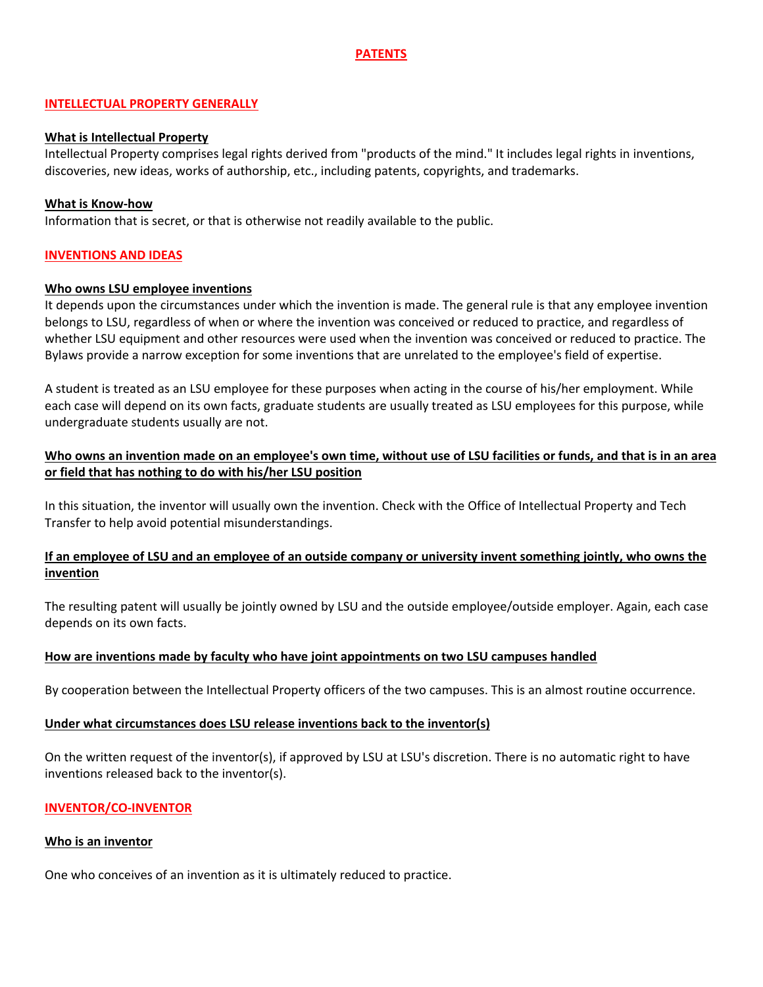# **PATENTS**

#### **INTELLECTUAL PROPERTY GENERALLY**

#### **What is Intellectual Property**

Intellectual Property comprises legal rights derived from "products of the mind." It includes legal rights in inventions, discoveries, new ideas, works of authorship, etc., including patents, copyrights, and trademarks.

#### **What is Know-how**

Information that is secret, or that is otherwise not readily available to the public.

#### **INVENTIONS AND IDEAS**

#### **Who owns LSU employee inventions**

It depends upon the circumstances under which the invention is made. The general rule is that any employee invention belongs to LSU, regardless of when or where the invention was conceived or reduced to practice, and regardless of whether LSU equipment and other resources were used when the invention was conceived or reduced to practice. The Bylaws provide a narrow exception for some inventions that are unrelated to the employee's field of expertise.

A student is treated as an LSU employee for these purposes when acting in the course of his/her employment. While each case will depend on its own facts, graduate students are usually treated as LSU employees for this purpose, while undergraduate students usually are not.

## **Who owns an invention made on an employee's own time, without use of LSU facilities or funds, and that is in an area or field that has nothing to do with his/her LSU position**

In this situation, the inventor will usually own the invention. Check with the Office of Intellectual Property and Tech Transfer to help avoid potential misunderstandings.

### **If an employee of LSU and an employee of an outside company or university invent something jointly, who owns the invention**

The resulting patent will usually be jointly owned by LSU and the outside employee/outside employer. Again, each case depends on its own facts.

#### **How are inventions made by faculty who have joint appointments on two LSU campuses handled**

By cooperation between the Intellectual Property officers of the two campuses. This is an almost routine occurrence.

#### **Under what circumstances does LSU release inventions back to the inventor(s)**

On the written request of the inventor(s), if approved by LSU at LSU's discretion. There is no automatic right to have inventions released back to the inventor(s).

#### **INVENTOR/CO-INVENTOR**

#### **Who is an inventor**

One who conceives of an invention as it is ultimately reduced to practice.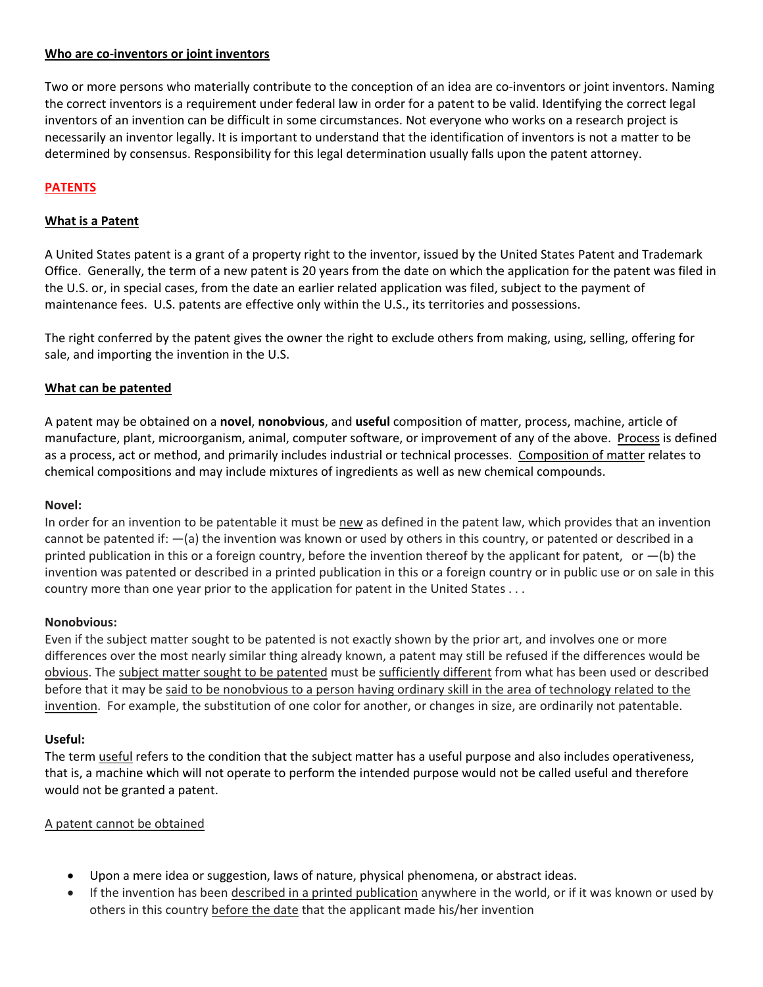### **Who are co-inventors or joint inventors**

Two or more persons who materially contribute to the conception of an idea are co-inventors or joint inventors. Naming the correct inventors is a requirement under federal law in order for a patent to be valid. Identifying the correct legal inventors of an invention can be difficult in some circumstances. Not everyone who works on a research project is necessarily an inventor legally. It is important to understand that the identification of inventors is not a matter to be determined by consensus. Responsibility for this legal determination usually falls upon the patent attorney.

# **PATENTS**

# **What is a Patent**

A United States patent is a grant of a property right to the inventor, issued by the United States Patent and Trademark Office. Generally, the term of a new patent is 20 years from the date on which the application for the patent was filed in the U.S. or, in special cases, from the date an earlier related application was filed, subject to the payment of maintenance fees. U.S. patents are effective only within the U.S., its territories and possessions.

The right conferred by the patent gives the owner the right to exclude others from making, using, selling, offering for sale, and importing the invention in the U.S.

# **What can be patented**

A patent may be obtained on a **novel**, **nonobvious**, and **useful** composition of matter, process, machine, article of manufacture, plant, microorganism, animal, computer software, or improvement of any of the above. Process is defined as a process, act or method, and primarily includes industrial or technical processes. Composition of matter relates to chemical compositions and may include mixtures of ingredients as well as new chemical compounds.

### **Novel:**

In order for an invention to be patentable it must be new as defined in the patent law, which provides that an invention cannot be patented if: ―(a) the invention was known or used by others in this country, or patented or described in a printed publication in this or a foreign country, before the invention thereof by the applicant for patent, or  $-(b)$  the invention was patented or described in a printed publication in this or a foreign country or in public use or on sale in this country more than one year prior to the application for patent in the United States . . .

### **Nonobvious:**

Even if the subject matter sought to be patented is not exactly shown by the prior art, and involves one or more differences over the most nearly similar thing already known, a patent may still be refused if the differences would be obvious. The subject matter sought to be patented must be sufficiently different from what has been used or described before that it may be said to be nonobvious to a person having ordinary skill in the area of technology related to the invention. For example, the substitution of one color for another, or changes in size, are ordinarily not patentable.

### **Useful:**

The term useful refers to the condition that the subject matter has a useful purpose and also includes operativeness, that is, a machine which will not operate to perform the intended purpose would not be called useful and therefore would not be granted a patent.

#### A patent cannot be obtained

- Upon a mere idea or suggestion, laws of nature, physical phenomena, or abstract ideas.
- If the invention has been described in a printed publication anywhere in the world, or if it was known or used by others in this country before the date that the applicant made his/her invention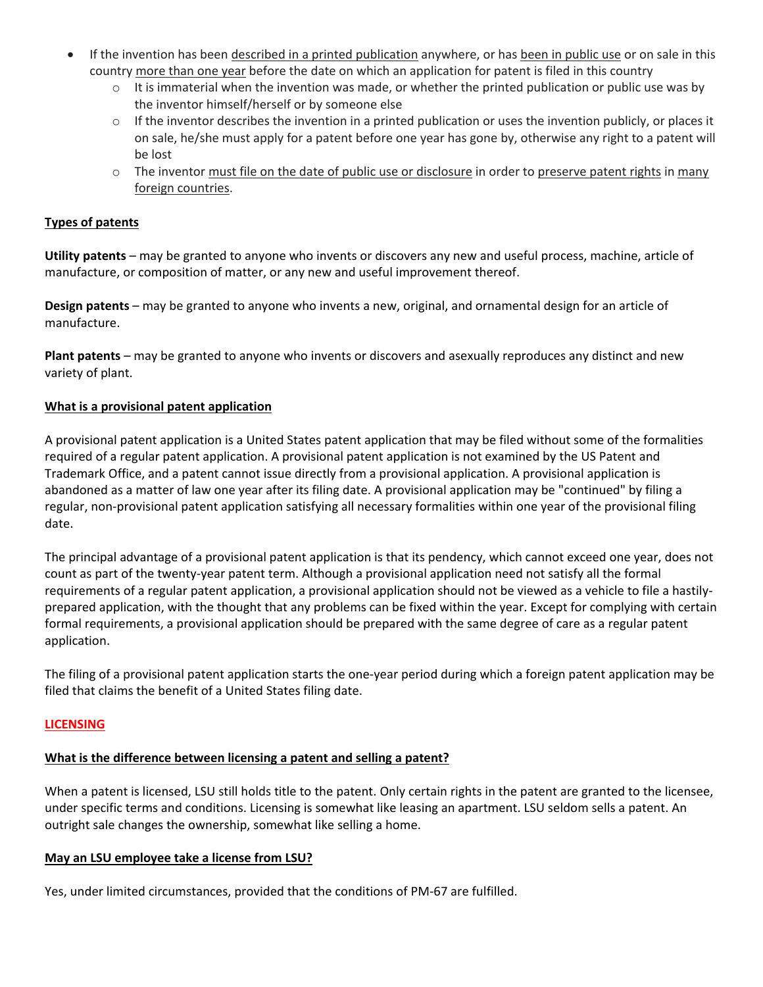- If the invention has been described in a printed publication anywhere, or has been in public use or on sale in this country more than one year before the date on which an application for patent is filed in this country
	- $\circ$  It is immaterial when the invention was made, or whether the printed publication or public use was by the inventor himself/herself or by someone else
	- $\circ$  If the inventor describes the invention in a printed publication or uses the invention publicly, or places it on sale, he/she must apply for a patent before one year has gone by, otherwise any right to a patent will be lost
	- $\circ$  The inventor must file on the date of public use or disclosure in order to preserve patent rights in many foreign countries.

# **Types of patents**

**Utility patents** – may be granted to anyone who invents or discovers any new and useful process, machine, article of manufacture, or composition of matter, or any new and useful improvement thereof.

**Design patents** – may be granted to anyone who invents a new, original, and ornamental design for an article of manufacture.

**Plant patents** – may be granted to anyone who invents or discovers and asexually reproduces any distinct and new variety of plant.

### **What is a provisional patent application**

A provisional patent application is a United States patent application that may be filed without some of the formalities required of a regular patent application. A provisional patent application is not examined by the US Patent and Trademark Office, and a patent cannot issue directly from a provisional application. A provisional application is abandoned as a matter of law one year after its filing date. A provisional application may be "continued" by filing a regular, non-provisional patent application satisfying all necessary formalities within one year of the provisional filing date.

The principal advantage of a provisional patent application is that its pendency, which cannot exceed one year, does not count as part of the twenty-year patent term. Although a provisional application need not satisfy all the formal requirements of a regular patent application, a provisional application should not be viewed as a vehicle to file a hastilyprepared application, with the thought that any problems can be fixed within the year. Except for complying with certain formal requirements, a provisional application should be prepared with the same degree of care as a regular patent application.

The filing of a provisional patent application starts the one-year period during which a foreign patent application may be filed that claims the benefit of a United States filing date.

### **LICENSING**

### **What is the difference between licensing a patent and selling a patent?**

When a patent is licensed, LSU still holds title to the patent. Only certain rights in the patent are granted to the licensee, under specific terms and conditions. Licensing is somewhat like leasing an apartment. LSU seldom sells a patent. An outright sale changes the ownership, somewhat like selling a home.

#### **May an LSU employee take a license from LSU?**

Yes, under limited circumstances, provided that the conditions of PM-67 are fulfilled.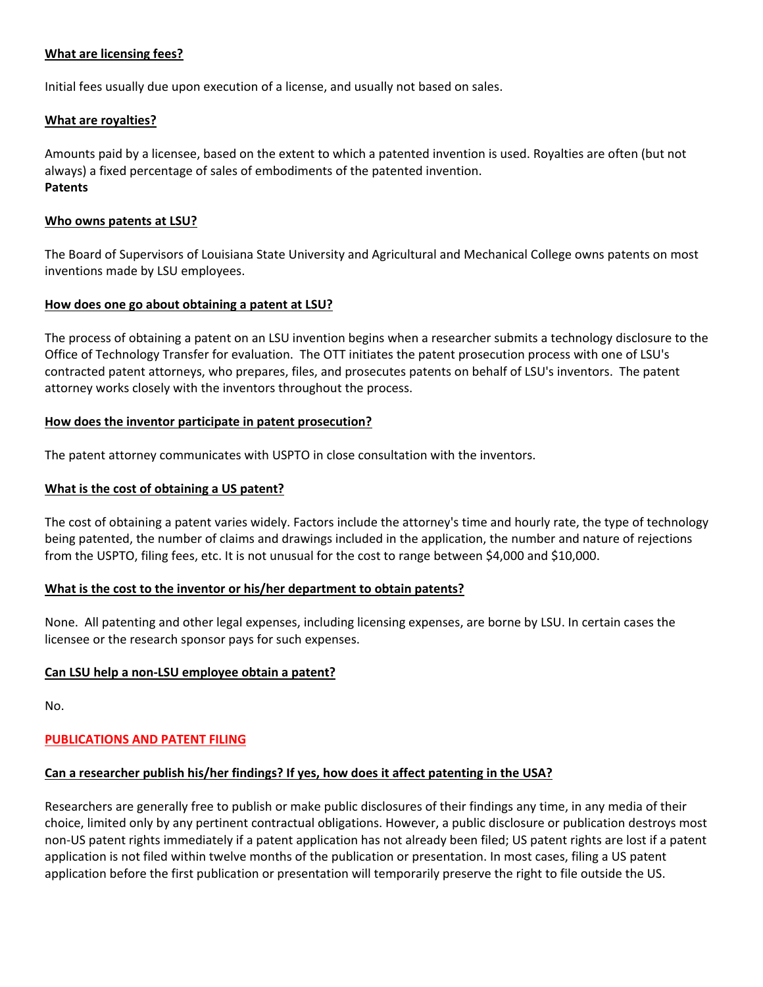### **What are licensing fees?**

Initial fees usually due upon execution of a license, and usually not based on sales.

#### **What are royalties?**

Amounts paid by a licensee, based on the extent to which a patented invention is used. Royalties are often (but not always) a fixed percentage of sales of embodiments of the patented invention. **Patents**

#### **Who owns patents at LSU?**

The Board of Supervisors of Louisiana State University and Agricultural and Mechanical College owns patents on most inventions made by LSU employees.

### **How does one go about obtaining a patent at LSU?**

The process of obtaining a patent on an LSU invention begins when a researcher submits a technology disclosure to the Office of Technology Transfer for evaluation. The OTT initiates the patent prosecution process with one of LSU's contracted patent attorneys, who prepares, files, and prosecutes patents on behalf of LSU's inventors. The patent attorney works closely with the inventors throughout the process.

#### **How does the inventor participate in patent prosecution?**

The patent attorney communicates with USPTO in close consultation with the inventors.

#### **What is the cost of obtaining a US patent?**

The cost of obtaining a patent varies widely. Factors include the attorney's time and hourly rate, the type of technology being patented, the number of claims and drawings included in the application, the number and nature of rejections from the USPTO, filing fees, etc. It is not unusual for the cost to range between \$4,000 and \$10,000.

### **What is the cost to the inventor or his/her department to obtain patents?**

None. All patenting and other legal expenses, including licensing expenses, are borne by LSU. In certain cases the licensee or the research sponsor pays for such expenses.

### **Can LSU help a non-LSU employee obtain a patent?**

No.

### **PUBLICATIONS AND PATENT FILING**

### **Can a researcher publish his/her findings? If yes, how does it affect patenting in the USA?**

Researchers are generally free to publish or make public disclosures of their findings any time, in any media of their choice, limited only by any pertinent contractual obligations. However, a public disclosure or publication destroys most non-US patent rights immediately if a patent application has not already been filed; US patent rights are lost if a patent application is not filed within twelve months of the publication or presentation. In most cases, filing a US patent application before the first publication or presentation will temporarily preserve the right to file outside the US.